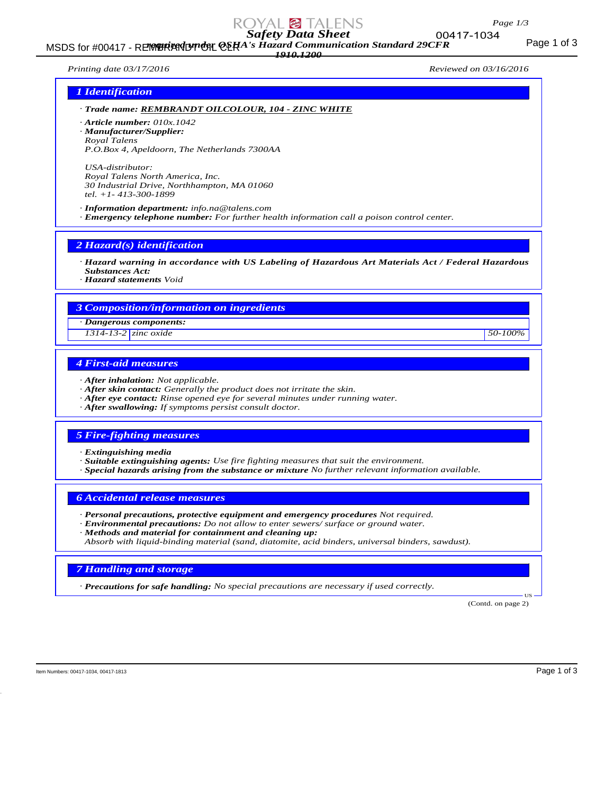# *Safety Data Sheet*

MSDS for #00417 - REMBRANDT ON CERA's Hazard Communication Standard 29CFR<br>MSDS for #00417 - REMBRANDT ON CERA's Hazard Communication Standard 29CFR *1910.1200*

*Printing date 03/17/2016 Reviewed on 03/16/2016*

# *1 Identification*

*· Trade name: REMBRANDT OILCOLOUR, 104 - ZINC WHITE*

*· Article number: 010x.1042*

*· Manufacturer/Supplier:*

*Royal Talens P.O.Box 4, Apeldoorn, The Netherlands 7300AA*

*USA-distributor: Royal Talens North America, Inc. 30 Industrial Drive, Northhampton, MA 01060 tel. +1- 413-300-1899*

*· Information department: info.na@talens.com · Emergency telephone number: For further health information call a poison control center.*

*2 Hazard(s) identification*

*· Hazard warning in accordance with US Labeling of Hazardous Art Materials Act / Federal Hazardous Substances Act:*

*· Hazard statements Void*

## *3 Composition/information on ingredients*

*· Dangerous components:*

*1314-13-2 zinc oxide 50-100%*

# *4 First-aid measures*

- *· After inhalation: Not applicable.*
- *· After skin contact: Generally the product does not irritate the skin.*
- *· After eye contact: Rinse opened eye for several minutes under running water.*
- *· After swallowing: If symptoms persist consult doctor.*

## *5 Fire-fighting measures*

*· Extinguishing media*

- *· Suitable extinguishing agents: Use fire fighting measures that suit the environment.*
- *· Special hazards arising from the substance or mixture No further relevant information available.*

*6 Accidental release measures*

- *· Personal precautions, protective equipment and emergency procedures Not required.*
- *· Environmental precautions: Do not allow to enter sewers/ surface or ground water.*
- *· Methods and material for containment and cleaning up:*

*Absorb with liquid-binding material (sand, diatomite, acid binders, universal binders, sawdust).*

#### *7 Handling and storage*

*· Precautions for safe handling: No special precautions are necessary if used correctly.*

(Contd. on page 2)

US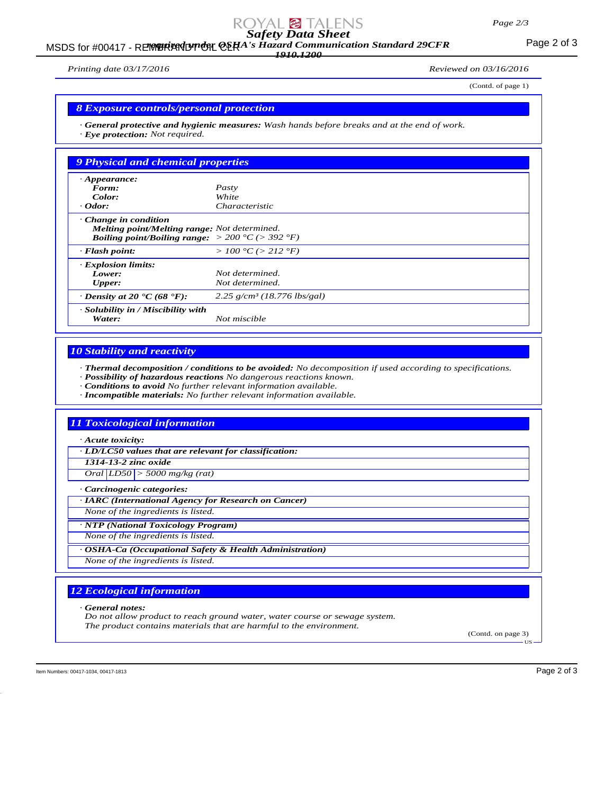# *Safety Data Sheet*

### MSDS for #00417 - REMBRANDT ON CERA's Hazard Communication Standard 29CFR<br>MSDS for #00417 - REMBRANDT ON CERA's Hazard Communication Standard 29CFR *1910.1200*

*Printing date 03/17/2016 Reviewed on 03/16/2016*

(Contd. of page 1)

### *8 Exposure controls/personal protection*

*· General protective and hygienic measures: Wash hands before breaks and at the end of work. · Eye protection: Not required.*

| <b>9 Physical and chemical properties</b>                                                                                                                  |                                           |  |
|------------------------------------------------------------------------------------------------------------------------------------------------------------|-------------------------------------------|--|
| $\cdot$ Appearance:                                                                                                                                        |                                           |  |
| Form:                                                                                                                                                      | Pasty                                     |  |
| Color:                                                                                                                                                     | White                                     |  |
| $\cdot$ Odor:                                                                                                                                              | Characteristic                            |  |
| $\cdot$ Change in condition<br>Melting point/Melting range: Not determined.<br><b>Boiling point/Boiling range:</b> $> 200 \degree C$ ( $> 392 \degree F$ ) |                                           |  |
| $\cdot$ Flash point:                                                                                                                                       | > 100 °C (> 212 °F)                       |  |
| · Explosion limits:                                                                                                                                        |                                           |  |
| Lower:                                                                                                                                                     | Not determined.                           |  |
| <b>Upper:</b>                                                                                                                                              | Not determined.                           |  |
| $\cdot$ Density at 20 $\cdot$ C (68 $\cdot$ F):                                                                                                            | $2.25$ g/cm <sup>3</sup> (18.776 lbs/gal) |  |
| · Solubility in / Miscibility with<br>Water:                                                                                                               | Not miscible                              |  |

# *10 Stability and reactivity*

*· Thermal decomposition / conditions to be avoided: No decomposition if used according to specifications.*

*· Possibility of hazardous reactions No dangerous reactions known.*

*· Conditions to avoid No further relevant information available.*

*· Incompatible materials: No further relevant information available.*

# *11 Toxicological information*

*· Acute toxicity:*

*· LD/LC50 values that are relevant for classification:*

*1314-13-2 zinc oxide*

*Oral LD50 > 5000 mg/kg (rat)*

*· Carcinogenic categories:*

*· IARC (International Agency for Research on Cancer)*

*None of the ingredients is listed.*

*· NTP (National Toxicology Program)*

*None of the ingredients is listed.*

*· OSHA-Ca (Occupational Safety & Health Administration)*

*None of the ingredients is listed.*

# *12 Ecological information*

*· General notes:*

*Do not allow product to reach ground water, water course or sewage system. The product contains materials that are harmful to the environment.*

(Contd. on page 3) US